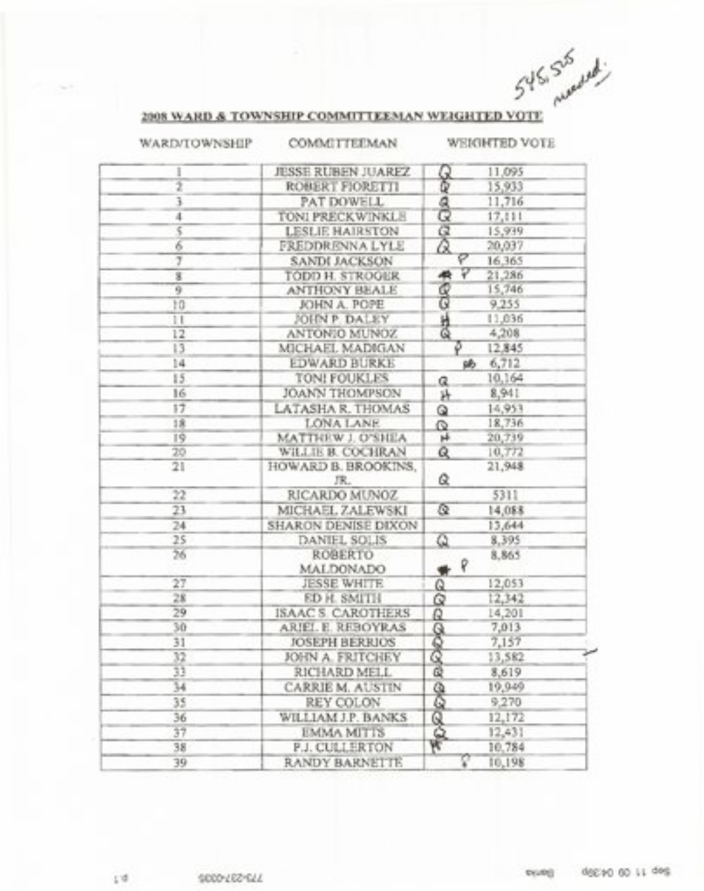|               | 2008 WARD & TOWNSHIP COMMITTEEMAN WEIGHTED VOTE | 545,525 recently                 |  |
|---------------|-------------------------------------------------|----------------------------------|--|
| WARD/TOWNSHIP | COMMITTEEMAN                                    | <b>WEIGHTED VOTE</b>             |  |
| I             | <b>JESSE RUBEN JUAREZ</b>                       | 11,095<br>Q                      |  |
| 7             | ROBERT FIORETTI                                 | Φ<br>15,933                      |  |
|               | PAT DOWELL                                      | 11,716                           |  |
| 4             | TONI PRECKWINKLE                                | ලි<br>17,111                     |  |
| 5             | LESLIE HAIRSTON                                 | $\sigma$<br>15,939               |  |
| 7             | FREDDRENNA LYLE                                 | Ω<br>20,037                      |  |
| 7             | <b>SANDI JACKSON</b>                            | Ρ<br>16,365                      |  |
| g             | TODD H. STROGER                                 | ₽<br>21,286                      |  |
| 9             | <b>ANTHONY BEALE</b>                            | g<br>15,746                      |  |
| tū            | JOHN A. POPE                                    | 9,255                            |  |
| 11            | JOHN P. DALEY                                   | 社会<br>11,036                     |  |
| 12            | ANTONIO MUNOZ                                   | 4,208                            |  |
| 13            | MICHAEL MADIGAN                                 | 12,845                           |  |
| 14            | <b>EDWARD BURKE</b>                             | 6,712<br>旸                       |  |
| 15            | TON! FOUKLES                                    | 10,164<br>a                      |  |
| 16            | <b>JOANN THOMPSON</b>                           | 8,941<br>连                       |  |
| 17            | LATASHA R. THOMAS                               | 14,953<br>Q                      |  |
| 18            | LONA LANE                                       | 18,736<br>Q                      |  |
| 19            | MATTHEW J. O'SHEA                               | $\mathbf{H}$<br>20,739           |  |
| 20            | WILLIE B. COCHRAN                               | Q<br>10,772                      |  |
| 21            | HOWARD B. BROOKINS,<br>JR.                      | 21,948<br>Q                      |  |
| 22            | RICARDO MUNOZ                                   | 5311                             |  |
| 23            | MICHAEL ZALEWSKI                                | Q<br>14,088                      |  |
| 24            | SHARON DENISE DIXON                             | 13,644                           |  |
| 25            | DANIEL SOLIS                                    | $\overline{\mathbf{Q}}$<br>8,395 |  |
| 56            | ROBERTO<br><b>MALDONADO</b>                     | 8,865<br>$*$ $\mathbb{R}$        |  |
| 27            | <b>JESSE WHITE</b>                              | 12,053<br>Q                      |  |
| 28            | <b>ED H. SMITH</b>                              | Q<br>12,342                      |  |
| 29            | ISAAC S. CAROTHERS                              | Q<br>14,201                      |  |
| 30            | ARIEL E. REBOYRAS                               | 7,013                            |  |
| 31            | JOSEPH BERRIOS                                  | 7,157                            |  |
| 32            | JOHN A. FRITCHEY                                | <b>SOFO</b><br>13,582            |  |
| 33            | RICHARD MELL                                    | ই<br>8,619                       |  |
| 34            | CARRIE M. AUSTIN                                | 19,949                           |  |
| 35            | REY COLON                                       | Q<br>9,270                       |  |
| 36            | WILLIAM J.P. BANKS                              | 12,172                           |  |
| 37            | <b>EMMA MITTS</b>                               | 12,431                           |  |
| 38            | P.J. CULLERTON                                  | BOR<br>10,784                    |  |
| 39            | RANDY BARNETTE                                  | P<br>10,198                      |  |